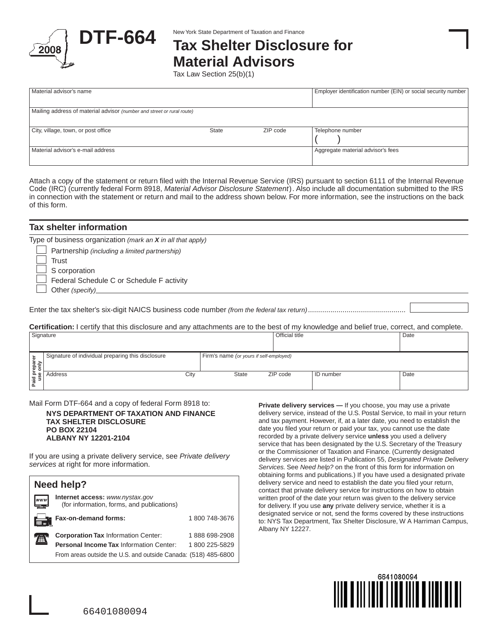

# **DTF-664** New York State Department of Taxation and Finance<br>
Tax Shelter Disclosure for **Material Advisors**

Tax Law Section 25(b)(1)

| Material advisor's name                                                |       |          | Employer identification number (EIN) or social security number |  |  |  |  |  |
|------------------------------------------------------------------------|-------|----------|----------------------------------------------------------------|--|--|--|--|--|
| Mailing address of material advisor (number and street or rural route) |       |          |                                                                |  |  |  |  |  |
| City, village, town, or post office                                    | State | ZIP code | Telephone number                                               |  |  |  |  |  |
| Material advisor's e-mail address                                      |       |          | Aggregate material advisor's fees                              |  |  |  |  |  |

Attach a copy of the statement or return filed with the Internal Revenue Service (IRS) pursuant to section 6111 of the Internal Revenue Code (IRC) (currently federal Form 8918, *Material Advisor Disclosure Statement*). Also include all documentation submitted to the IRS in connection with the statement or return and mail to the address shown below. For more information, see the instructions on the back of this form.

| <b>Tax shelter information</b>                                                                                                            |                |      |
|-------------------------------------------------------------------------------------------------------------------------------------------|----------------|------|
| Type of business organization (mark an $X$ in all that apply)                                                                             |                |      |
| Partnership (including a limited partnership)                                                                                             |                |      |
| Trust                                                                                                                                     |                |      |
| S corporation                                                                                                                             |                |      |
| Federal Schedule C or Schedule F activity                                                                                                 |                |      |
| Other (specify)                                                                                                                           |                |      |
|                                                                                                                                           |                |      |
|                                                                                                                                           |                |      |
|                                                                                                                                           |                |      |
| Certification: I certify that this disclosure and any attachments are to the best of my knowledge and belief true, correct, and complete. |                |      |
| Signature                                                                                                                                 | Official title | Date |

| ັ                          |                                                   |      |                                         |          |             |      |  |
|----------------------------|---------------------------------------------------|------|-----------------------------------------|----------|-------------|------|--|
| $\pm$                      | Signature of individual preparing this disclosure |      | Firm's name (or yours if self-employed) |          |             |      |  |
| id prepar<br>use only<br>௨ | Address                                           | City | <b>State</b>                            | ZIP code | I ID number | Date |  |

Mail Form DTF-664 and a copy of federal Form 8918 to:

**NYS DEPARTMENT OF TAXATION AND FINANCE TAX SHELTER DISCLOSURE PO BOX 22104 ALBANY NY 12201-2104**

If you are using a private delivery service, see *Private delivery services* at right for more information.



**Private delivery services —** If you choose, you may use a private delivery service, instead of the U.S. Postal Service, to mail in your return and tax payment. However, if, at a later date, you need to establish the date you filed your return or paid your tax, you cannot use the date recorded by a private delivery service **unless** you used a delivery service that has been designated by the U.S. Secretary of the Treasury or the Commissioner of Taxation and Finance. (Currently designated delivery services are listed in Publication 55, *Designated Private Delivery Services.* See *Need help?* on the front of this form for information on obtaining forms and publications.) If you have used a designated private delivery service and need to establish the date you filed your return, contact that private delivery service for instructions on how to obtain written proof of the date your return was given to the delivery service for delivery. If you use **any** private delivery service, whether it is a designated service or not, send the forms covered by these instructions to: NYS Tax Department, Tax Shelter Disclosure, W A Harriman Campus, Albany NY 12227.